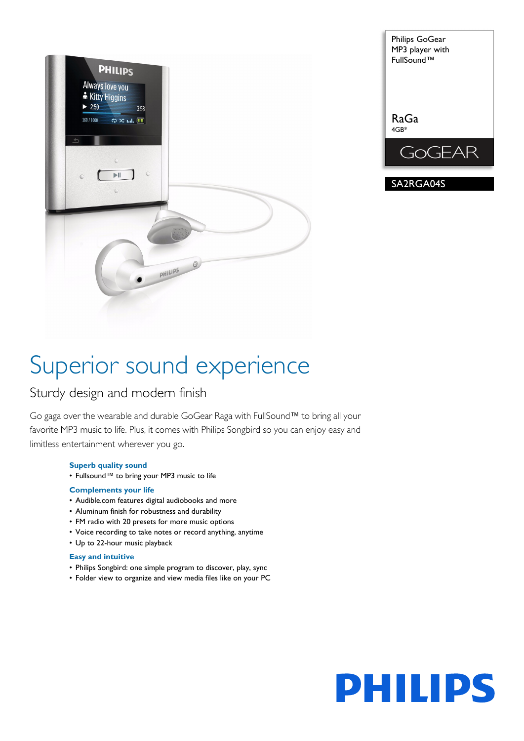



# Superior sound experience

## Sturdy design and modern finish

Go gaga over the wearable and durable GoGear Raga with FullSound™ to bring all your favorite MP3 music to life. Plus, it comes with Philips Songbird so you can enjoy easy and limitless entertainment wherever you go.

## **Superb quality sound**

• Fullsound™ to bring your MP3 music to life

## **Complements your life**

- Audible.com features digital audiobooks and more
- Aluminum finish for robustness and durability
- FM radio with 20 presets for more music options
- Voice recording to take notes or record anything, anytime
- Up to 22-hour music playback

## **Easy and intuitive**

- Philips Songbird: one simple program to discover, play, sync
- Folder view to organize and view media files like on your PC

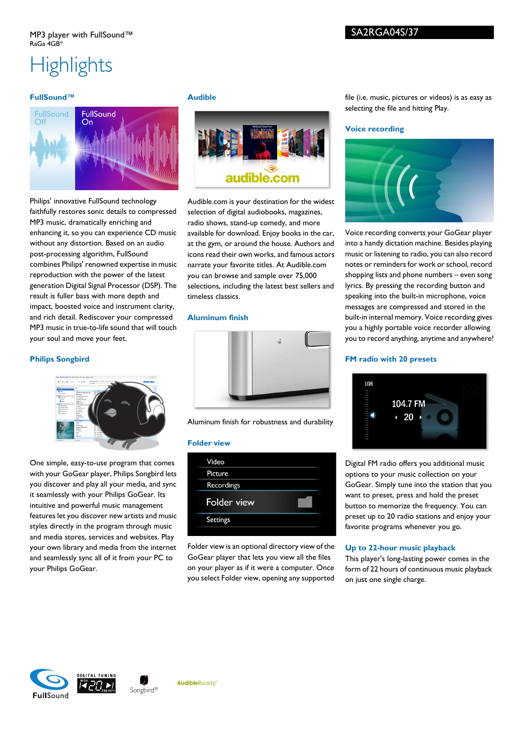## **Highlights**

## **FullSound™**



Philips' innovative FullSound technology faithfully restores sonic details to compressed MP3 music, dramatically enriching and enhancing it, so you can experience CD music without any distortion. Based on an audio post-processing algorithm, FullSound combines Philips' renowned expertise in music reproduction with the power of the latest generation Digital Signal Processor (DSP). The result is fuller bass with more depth and impact, boosted voice and instrument clarity, and rich detail. Rediscover your compressed MP3 music in true-to-life sound that will touch your soul and move your feet.

## **Philips Songbird**



One simple, easy-to-use program that comes with your GoGear player, Philips Songbird lets you discover and play all your media, and sync it seamlessly with your Philips GoGear. Its intuitive and powerful music management features let you discover new artists and music styles directly in the program through music and media stores, services and websites. Play your own library and media from the internet and seamlessly sync all of it from your PC to your Philips GoGear.

## **Audible**



Audible.com is your destination for the widest selection of digital audiobooks, magazines, radio shows, stand-up comedy, and more available for download. Enjoy books in the car, at the gym, or around the house. Authors and icons read their own works, and famous actors narrate your favorite titles. At Audible.com you can browse and sample over 75,000 selections, including the latest best sellers and timeless classics.

## **Aluminum finish**



Aluminum finish for robustness and durability

### **Folder view**



Folder view is an optional directory view of the GoGear player that lets you view all the files on your player as if it were a computer. Once you select Folder view, opening any supported

file (i.e. music, pictures or videos) is as easy as selecting the file and hitting Play.

## **Voice recording**



Voice recording converts your GoGear player into a handy dictation machine. Besides playing music or listening to radio, you can also record notes or reminders for work or school, record shopping lists and phone numbers – even song lyrics. By pressing the recording button and speaking into the built-in microphone, voice messages are compressed and stored in the built-in internal memory. Voice recording gives you a highly portable voice recorder allowing you to record anything, anytime and anywhere!

## **FM radio with 20 presets**



Digital FM radio offers you additional music options to your music collection on your GoGear. Simply tune into the station that you want to preset, press and hold the preset button to memorize the frequency. You can preset up to 20 radio stations and enjoy your favorite programs whenever you go.

### **Up to 22-hour music playback**

This player's long-lasting power comes in the form of 22 hours of continuous music playback on just one single charge.